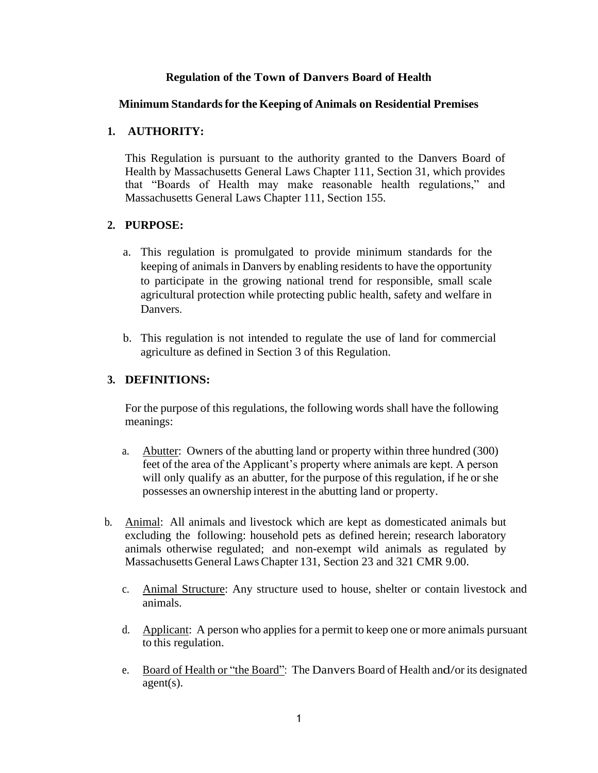#### **Regulation of the Town of Danvers Board of Health**

#### **Minimum Standardsfor the Keeping of Animals on Residential Premises**

#### **1. AUTHORITY:**

This Regulation is pursuant to the authority granted to the Danvers Board of Health by Massachusetts General Laws Chapter 111, Section 31, which provides that "Boards of Health may make reasonable health regulations," and Massachusetts General Laws Chapter 111, Section 155.

#### **2. PURPOSE:**

- a. This regulation is promulgated to provide minimum standards for the keeping of animals in Danvers by enabling residents to have the opportunity to participate in the growing national trend for responsible, small scale agricultural protection while protecting public health, safety and welfare in Danvers.
- b. This regulation is not intended to regulate the use of land for commercial agriculture as defined in Section 3 of this Regulation.

#### **3. DEFINITIONS:**

For the purpose of this regulations, the following words shall have the following meanings:

- a. Abutter: Owners of the abutting land or property within three hundred (300) feet of the area of the Applicant's property where animals are kept. A person will only qualify as an abutter, for the purpose of this regulation, if he or she possesses an ownership interest in the abutting land or property.
- b. Animal: All animals and livestock which are kept as domesticated animals but excluding the following: household pets as defined herein; research laboratory animals otherwise regulated; and non-exempt wild animals as regulated by Massachusetts General Laws Chapter 131, Section 23 and 321 CMR 9.00.
	- c. Animal Structure: Any structure used to house, shelter or contain livestock and animals.
	- d. Applicant: A person who applies for a permit to keep one or more animals pursuant to this regulation.
	- e. Board of Health or "the Board": The Danvers Board of Health and/or its designated agent(s).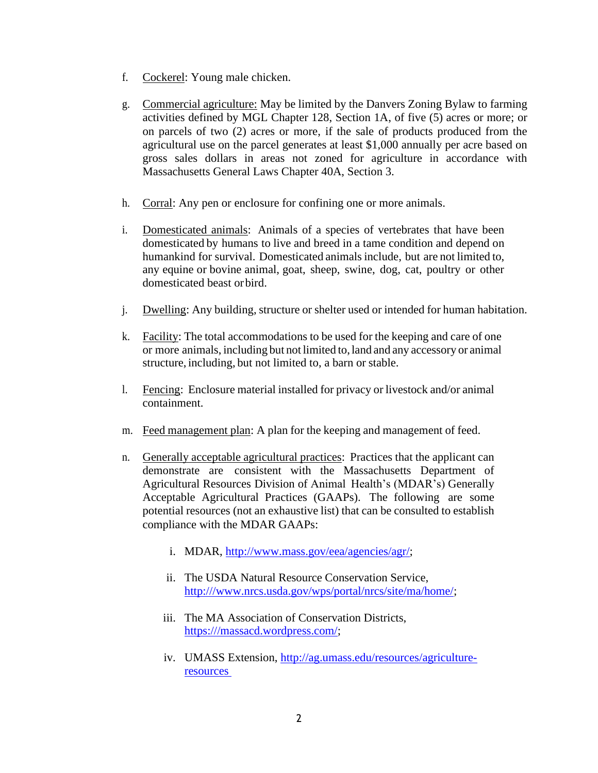- f. Cockerel: Young male chicken.
- g. Commercial agriculture: May be limited by the Danvers Zoning Bylaw to farming activities defined by MGL Chapter 128, Section 1A, of five (5) acres or more; or on parcels of two (2) acres or more, if the sale of products produced from the agricultural use on the parcel generates at least \$1,000 annually per acre based on gross sales dollars in areas not zoned for agriculture in accordance with Massachusetts General Laws Chapter 40A, Section 3.
- h. Corral: Any pen or enclosure for confining one or more animals.
- i. Domesticated animals: Animals of a species of vertebrates that have been domesticated by humans to live and breed in a tame condition and depend on humankind for survival. Domesticated animalsinclude, but are not limited to, any equine or bovine animal, goat, sheep, swine, dog, cat, poultry or other domesticated beast orbird.
- j. Dwelling: Any building, structure or shelter used or intended for human habitation.
- k. Facility: The total accommodations to be used for the keeping and care of one or more animals, including but not limited to, land and any accessory or animal structure, including, but not limited to, a barn or stable.
- l. Fencing: Enclosure material installed for privacy or livestock and/or animal containment.
- m. Feed management plan: A plan for the keeping and management of feed.
- n. Generally acceptable agricultural practices: Practices that the applicant can demonstrate are consistent with the Massachusetts Department of Agricultural Resources Division of Animal Health's (MDAR's) Generally Acceptable Agricultural Practices (GAAPs). The following are some potential resources (not an exhaustive list) that can be consulted to establish compliance with the MDAR GAAPs:
	- i. MDAR, [http://www.mass.gov/eea/agencies/agr/;](http://www.mass.gov/eea/agencies/agr/)
	- ii. The USDA Natural Resource Conservation Service, [http:///www.nrcs.usda.gov/wps/portal/nrcs/site/ma/home/;](http://www.nrcs.usda.gov/wps/portal/nrcs/site/ma/home/)
	- iii. The MA Association of Conservation Districts, [https:///massacd.wordpress.com/;](https://massacd.wordpress.com/)
	- iv. UMASS Extension, [http://ag.umass.edu/resources/agriculture](http://ag.umass.edu/resources/agriculture-resources)[resources](http://ag.umass.edu/resources/agriculture-resources)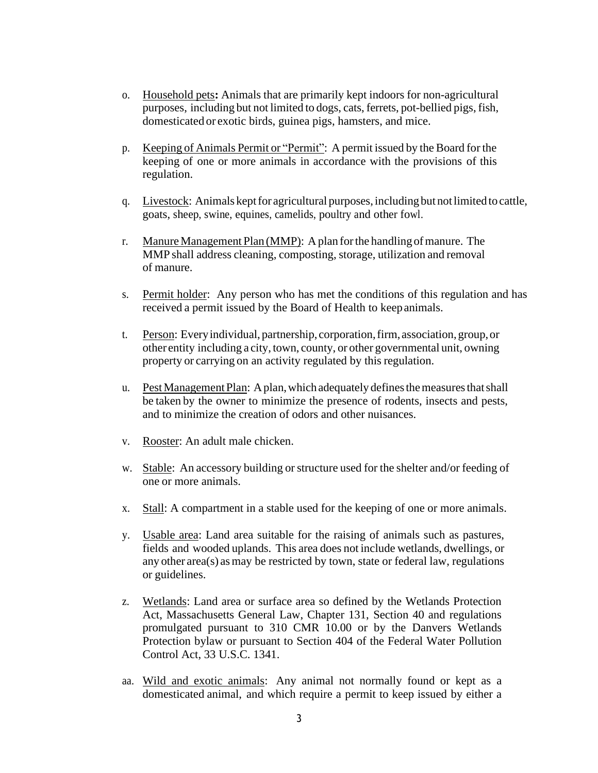- o. Household pets**:** Animals that are primarily kept indoors for non-agricultural purposes, including but not limited to dogs, cats, ferrets, pot-bellied pigs, fish, domesticated or exotic birds, guinea pigs, hamsters, and mice.
- p. Keeping of Animals Permit or "Permit": A permit issued by the Board for the keeping of one or more animals in accordance with the provisions of this regulation.
- q. Livestock: Animals kept for agricultural purposes, including but not limited to cattle, goats, sheep, swine, equines, camelids, poultry and other fowl.
- r. Manure Management Plan (MMP): A plan for the handling of manure. The MMP shall address cleaning, composting, storage, utilization and removal of manure.
- s. Permit holder: Any person who has met the conditions of this regulation and has received a permit issued by the Board of Health to keepanimals.
- t. Person: Everyindividual, partnership, corporation,firm, association,group,or other entity including a city, town, county, or other governmental unit, owning property or carrying on an activity regulated by this regulation.
- u. Pest Management Plan: A plan, which adequately defines the measures that shall be taken by the owner to minimize the presence of rodents, insects and pests, and to minimize the creation of odors and other nuisances.
- v. Rooster: An adult male chicken.
- w. Stable: An accessory building or structure used for the shelter and/or feeding of one or more animals.
- x. Stall: A compartment in a stable used for the keeping of one or more animals.
- y. Usable area: Land area suitable for the raising of animals such as pastures, fields and wooded uplands. This area does not include wetlands, dwellings, or any other area(s) asmay be restricted by town, state or federal law, regulations or guidelines.
- z. Wetlands: Land area or surface area so defined by the Wetlands Protection Act, Massachusetts General Law, Chapter 131, Section 40 and regulations promulgated pursuant to 310 CMR 10.00 or by the Danvers Wetlands Protection bylaw or pursuant to Section 404 of the Federal Water Pollution Control Act, 33 U.S.C. 1341.
- aa. Wild and exotic animals: Any animal not normally found or kept as a domesticated animal, and which require a permit to keep issued by either a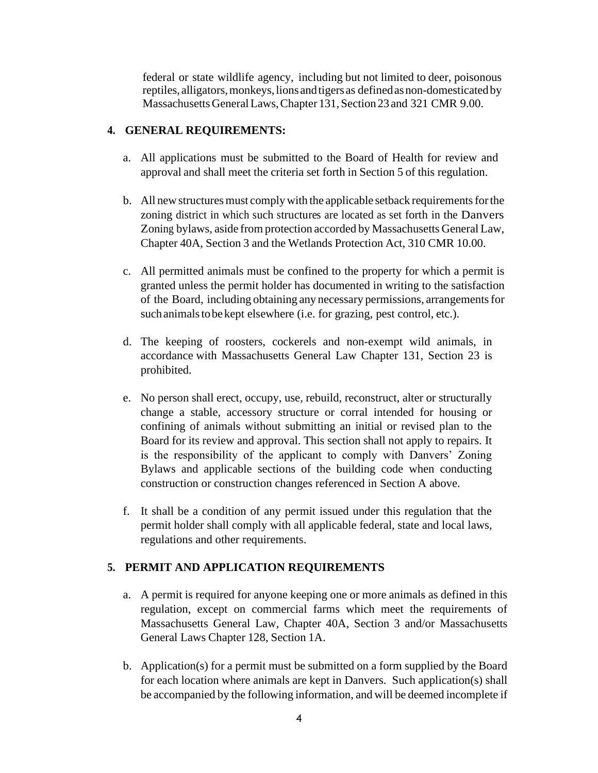federal or state wildlife agency, including but not limited to deer, poisonous reptiles, alligators, monkeys, lions and tigers as defined as non-domesticated by MassachusettsGeneralLaws,Chapter 131, Section23and 321 CMR 9.00.

### **4. GENERAL REQUIREMENTS:**

- a. All applications must be submitted to the Board of Health for review and approval and shall meet the criteria set forth in Section 5 of this regulation.
- b. All new structures must comply with the applicable setback requirements for the zoning district in which such structures are located as set forth in the Danvers Zoning bylaws, aside from protection accorded by Massachusetts General Law, Chapter 40A, Section 3 and the Wetlands Protection Act, 310 CMR 10.00.
- c. All permitted animals must be confined to the property for which a permit is granted unless the permit holder has documented in writing to the satisfaction of the Board, including obtaining any necessary permissions, arrangementsfor suchanimalstobekept elsewhere (i.e. for grazing, pest control, etc.).
- d. The keeping of roosters, cockerels and non-exempt wild animals, in accordance with Massachusetts General Law Chapter 131, Section 23 is prohibited.
- e. No person shall erect, occupy, use, rebuild, reconstruct, alter or structurally change a stable, accessory structure or corral intended for housing or confining of animals without submitting an initial or revised plan to the Board for its review and approval. This section shall not apply to repairs. It is the responsibility of the applicant to comply with Danvers' Zoning Bylaws and applicable sections of the building code when conducting construction or construction changes referenced in Section A above.
- f. It shall be a condition of any permit issued under this regulation that the permit holder shall comply with all applicable federal, state and local laws, regulations and other requirements.

## **5. PERMIT AND APPLICATION REQUIREMENTS**

- a. A permit is required for anyone keeping one or more animals as defined in this regulation, except on commercial farms which meet the requirements of Massachusetts General Law, Chapter 40A, Section 3 and/or Massachusetts General Laws Chapter 128, Section 1A.
- b. Application(s) for a permit must be submitted on a form supplied by the Board for each location where animals are kept in Danvers. Such application(s) shall be accompanied by the following information, and will be deemed incomplete if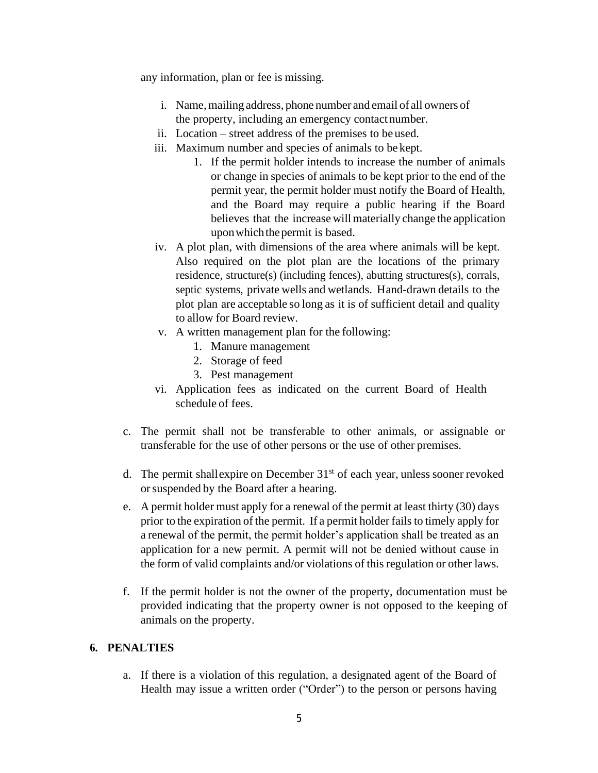any information, plan or fee is missing.

- i. Name, mailing address, phone number and email of all owners of the property, including an emergency contact number.
- ii. Location street address of the premises to be used.
- iii. Maximum number and species of animals to be kept.
	- 1. If the permit holder intends to increase the number of animals or change in species of animals to be kept prior to the end of the permit year, the permit holder must notify the Board of Health, and the Board may require a public hearing if the Board believes that the increase will materially change the application uponwhichthepermit is based.
- iv. A plot plan, with dimensions of the area where animals will be kept. Also required on the plot plan are the locations of the primary residence, structure(s) (including fences), abutting structures(s), corrals, septic systems, private wells and wetlands. Hand-drawn details to the plot plan are acceptable so long as it is of sufficient detail and quality to allow for Board review.
- v. A written management plan for the following:
	- 1. Manure management
	- 2. Storage of feed
	- 3. Pest management
- vi. Application fees as indicated on the current Board of Health schedule of fees.
- c. The permit shall not be transferable to other animals, or assignable or transferable for the use of other persons or the use of other premises.
- d. The permit shallexpire on December  $31<sup>st</sup>$  of each year, unless sooner revoked orsuspended by the Board after a hearing.
- e. A permit holder must apply for a renewal of the permit at least thirty (30) days prior to the expiration of the permit. If a permit holder fails to timely apply for a renewal of the permit, the permit holder's application shall be treated as an application for a new permit. A permit will not be denied without cause in the form of valid complaints and/or violations of this regulation or other laws.
- f. If the permit holder is not the owner of the property, documentation must be provided indicating that the property owner is not opposed to the keeping of animals on the property.

## **6. PENALTIES**

a. If there is a violation of this regulation, a designated agent of the Board of Health may issue a written order ("Order") to the person or persons having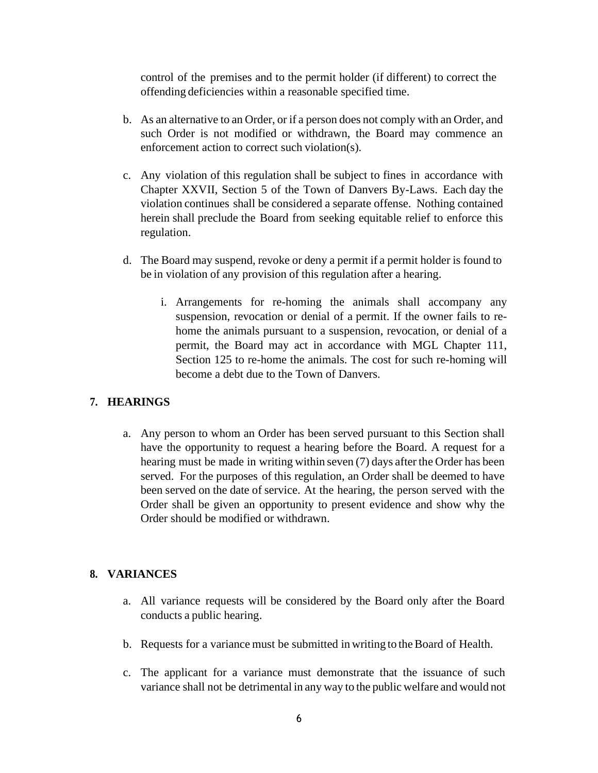control of the premises and to the permit holder (if different) to correct the offending deficiencies within a reasonable specified time.

- b. As an alternative to an Order, or if a person does not comply with an Order, and such Order is not modified or withdrawn, the Board may commence an enforcement action to correct such violation(s).
- c. Any violation of this regulation shall be subject to fines in accordance with Chapter XXVII, Section 5 of the Town of Danvers By-Laws. Each day the violation continues shall be considered a separate offense. Nothing contained herein shall preclude the Board from seeking equitable relief to enforce this regulation.
- d. The Board may suspend, revoke or deny a permit if a permit holder is found to be in violation of any provision of this regulation after a hearing.
	- i. Arrangements for re-homing the animals shall accompany any suspension, revocation or denial of a permit. If the owner fails to rehome the animals pursuant to a suspension, revocation, or denial of a permit, the Board may act in accordance with MGL Chapter 111, Section 125 to re-home the animals. The cost for such re-homing will become a debt due to the Town of Danvers.

## **7. HEARINGS**

a. Any person to whom an Order has been served pursuant to this Section shall have the opportunity to request a hearing before the Board. A request for a hearing must be made in writing within seven (7) days after the Order has been served. For the purposes of this regulation, an Order shall be deemed to have been served on the date of service. At the hearing, the person served with the Order shall be given an opportunity to present evidence and show why the Order should be modified or withdrawn.

## **8. VARIANCES**

- a. All variance requests will be considered by the Board only after the Board conducts a public hearing.
- b. Requests for a variance must be submitted in writing to the Board of Health.
- c. The applicant for a variance must demonstrate that the issuance of such variance shall not be detrimental in any way to the public welfare and would not